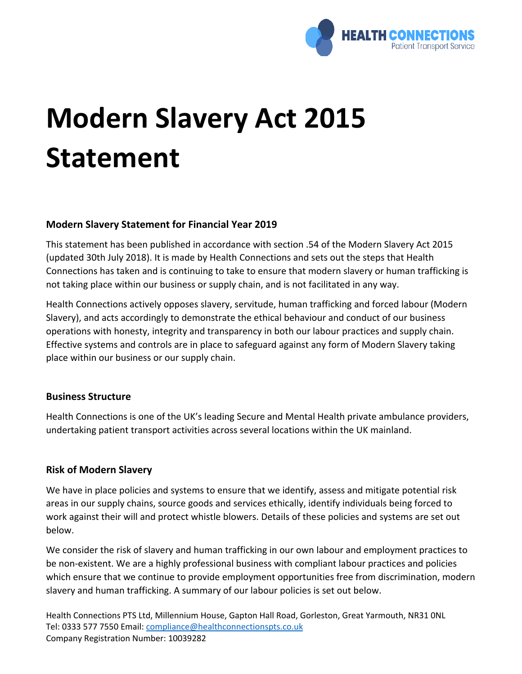

# **Modern Slavery Act 2015 Statement**

## **Modern Slavery Statement for Financial Year 2019**

This statement has been published in accordance with section .54 of the Modern Slavery Act 2015 (updated 30th July 2018). It is made by Health Connections and sets out the steps that Health Connections has taken and is continuing to take to ensure that modern slavery or human trafficking is not taking place within our business or supply chain, and is not facilitated in any way.

Health Connections actively opposes slavery, servitude, human trafficking and forced labour (Modern Slavery), and acts accordingly to demonstrate the ethical behaviour and conduct of our business operations with honesty, integrity and transparency in both our labour practices and supply chain. Effective systems and controls are in place to safeguard against any form of Modern Slavery taking place within our business or our supply chain.

## **Business Structure**

Health Connections is one of the UK's leading Secure and Mental Health private ambulance providers, undertaking patient transport activities across several locations within the UK mainland.

## **Risk of Modern Slavery**

We have in place policies and systems to ensure that we identify, assess and mitigate potential risk areas in our supply chains, source goods and services ethically, identify individuals being forced to work against their will and protect whistle blowers. Details of these policies and systems are set out below.

We consider the risk of slavery and human trafficking in our own labour and employment practices to be non-existent. We are a highly professional business with compliant labour practices and policies which ensure that we continue to provide employment opportunities free from discrimination, modern slavery and human trafficking. A summary of our labour policies is set out below.

Health Connections PTS Ltd, Millennium House, Gapton Hall Road, Gorleston, Great Yarmouth, NR31 0NL Tel: 0333 577 7550 Email: [compliance@healthconnectionspts.co.uk](mailto:compliance@healthconnectionspts.co.uk) Company Registration Number: 10039282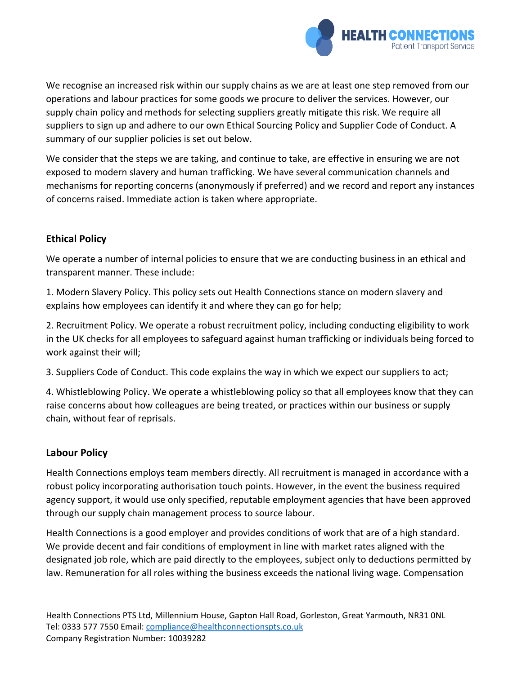

We recognise an increased risk within our supply chains as we are at least one step removed from our operations and labour practices for some goods we procure to deliver the services. However, our supply chain policy and methods for selecting suppliers greatly mitigate this risk. We require all suppliers to sign up and adhere to our own Ethical Sourcing Policy and Supplier Code of Conduct. A summary of our supplier policies is set out below.

We consider that the steps we are taking, and continue to take, are effective in ensuring we are not exposed to modern slavery and human trafficking. We have several communication channels and mechanisms for reporting concerns (anonymously if preferred) and we record and report any instances of concerns raised. Immediate action is taken where appropriate.

## **Ethical Policy**

We operate a number of internal policies to ensure that we are conducting business in an ethical and transparent manner. These include:

1. Modern Slavery Policy. This policy sets out Health Connections stance on modern slavery and explains how employees can identify it and where they can go for help;

2. Recruitment Policy. We operate a robust recruitment policy, including conducting eligibility to work in the UK checks for all employees to safeguard against human trafficking or individuals being forced to work against their will;

3. Suppliers Code of Conduct. This code explains the way in which we expect our suppliers to act;

4. Whistleblowing Policy. We operate a whistleblowing policy so that all employees know that they can raise concerns about how colleagues are being treated, or practices within our business or supply chain, without fear of reprisals.

## **Labour Policy**

Health Connections employs team members directly. All recruitment is managed in accordance with a robust policy incorporating authorisation touch points. However, in the event the business required agency support, it would use only specified, reputable employment agencies that have been approved through our supply chain management process to source labour.

Health Connections is a good employer and provides conditions of work that are of a high standard. We provide decent and fair conditions of employment in line with market rates aligned with the designated job role, which are paid directly to the employees, subject only to deductions permitted by law. Remuneration for all roles withing the business exceeds the national living wage. Compensation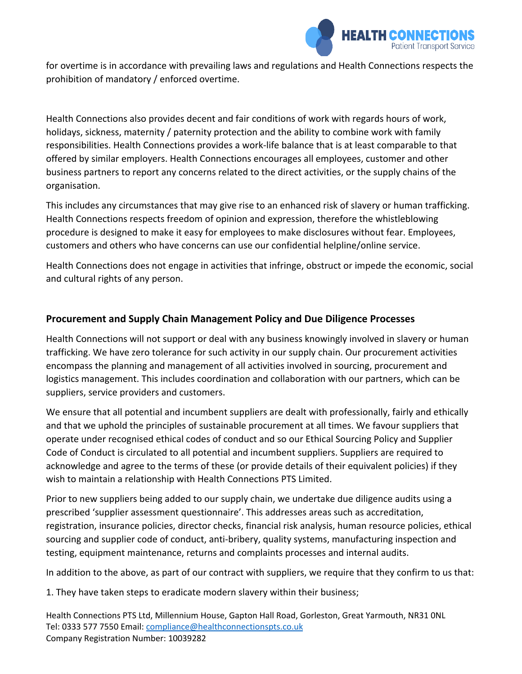

for overtime is in accordance with prevailing laws and regulations and Health Connections respects the prohibition of mandatory / enforced overtime.

Health Connections also provides decent and fair conditions of work with regards hours of work, holidays, sickness, maternity / paternity protection and the ability to combine work with family responsibilities. Health Connections provides a work-life balance that is at least comparable to that offered by similar employers. Health Connections encourages all employees, customer and other business partners to report any concerns related to the direct activities, or the supply chains of the organisation.

This includes any circumstances that may give rise to an enhanced risk of slavery or human trafficking. Health Connections respects freedom of opinion and expression, therefore the whistleblowing procedure is designed to make it easy for employees to make disclosures without fear. Employees, customers and others who have concerns can use our confidential helpline/online service.

Health Connections does not engage in activities that infringe, obstruct or impede the economic, social and cultural rights of any person.

## **Procurement and Supply Chain Management Policy and Due Diligence Processes**

Health Connections will not support or deal with any business knowingly involved in slavery or human trafficking. We have zero tolerance for such activity in our supply chain. Our procurement activities encompass the planning and management of all activities involved in sourcing, procurement and logistics management. This includes coordination and collaboration with our partners, which can be suppliers, service providers and customers.

We ensure that all potential and incumbent suppliers are dealt with professionally, fairly and ethically and that we uphold the principles of sustainable procurement at all times. We favour suppliers that operate under recognised ethical codes of conduct and so our Ethical Sourcing Policy and Supplier Code of Conduct is circulated to all potential and incumbent suppliers. Suppliers are required to acknowledge and agree to the terms of these (or provide details of their equivalent policies) if they wish to maintain a relationship with Health Connections PTS Limited.

Prior to new suppliers being added to our supply chain, we undertake due diligence audits using a prescribed 'supplier assessment questionnaire'. This addresses areas such as accreditation, registration, insurance policies, director checks, financial risk analysis, human resource policies, ethical sourcing and supplier code of conduct, anti-bribery, quality systems, manufacturing inspection and testing, equipment maintenance, returns and complaints processes and internal audits.

In addition to the above, as part of our contract with suppliers, we require that they confirm to us that:

1. They have taken steps to eradicate modern slavery within their business;

Health Connections PTS Ltd, Millennium House, Gapton Hall Road, Gorleston, Great Yarmouth, NR31 0NL Tel: 0333 577 7550 Email: [compliance@healthconnectionspts.co.uk](mailto:compliance@healthconnectionspts.co.uk) Company Registration Number: 10039282